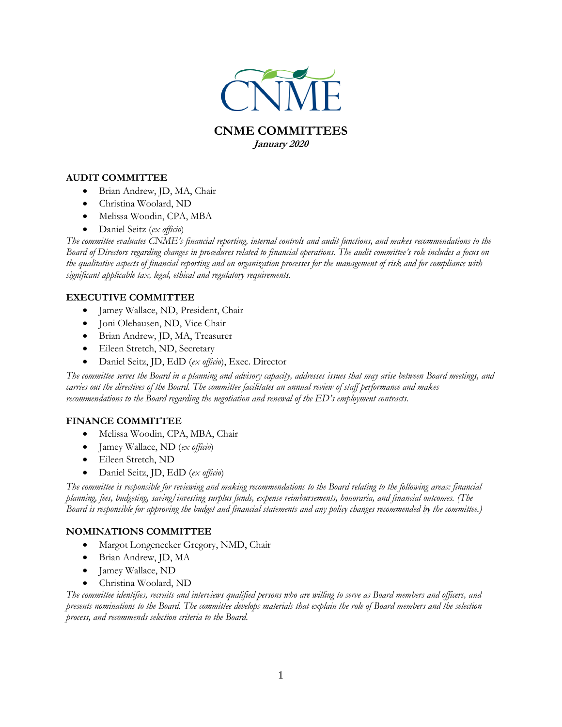

**January 2020**

## **AUDIT COMMITTEE**

- Brian Andrew, JD, MA, Chair
- Christina Woolard, ND
- Melissa Woodin, CPA, MBA
- Daniel Seitz (*ex officio*)

*The committee evaluates CNME's financial reporting, internal controls and audit functions, and makes recommendations to the Board of Directors regarding changes in procedures related to financial operations. The audit committee's role includes a focus on the qualitative aspects of financial reporting and on organization processes for the management of risk and for compliance with significant applicable tax, legal, ethical and regulatory requirements.*

# **EXECUTIVE COMMITTEE**

- Jamey Wallace, ND, President, Chair
- Joni Olehausen, ND, Vice Chair
- Brian Andrew, JD, MA, Treasurer
- Eileen Stretch, ND, Secretary
- Daniel Seitz, JD, EdD (*ex officio*), Exec. Director

*The committee serves the Board in a planning and advisory capacity, addresses issues that may arise between Board meetings, and carries out the directives of the Board. The committee facilitates an annual review of staff performance and makes recommendations to the Board regarding the negotiation and renewal of the ED's employment contracts.*

#### **FINANCE COMMITTEE**

- Melissa Woodin, CPA, MBA, Chair
- Jamey Wallace, ND (*ex officio*)
- Eileen Stretch, ND
- Daniel Seitz, JD, EdD (*ex officio*)

*The committee is responsible for reviewing and making recommendations to the Board relating to the following areas: financial planning, fees, budgeting, saving/investing surplus funds, expense reimbursements, honoraria, and financial outcomes. (The Board is responsible for approving the budget and financial statements and any policy changes recommended by the committee.)* 

#### **NOMINATIONS COMMITTEE**

- Margot Longenecker Gregory, NMD, Chair
- Brian Andrew, JD, MA
- Jamey Wallace, ND
- Christina Woolard, ND

*The committee identifies, recruits and interviews qualified persons who are willing to serve as Board members and officers, and presents nominations to the Board. The committee develops materials that explain the role of Board members and the selection process, and recommends selection criteria to the Board.*